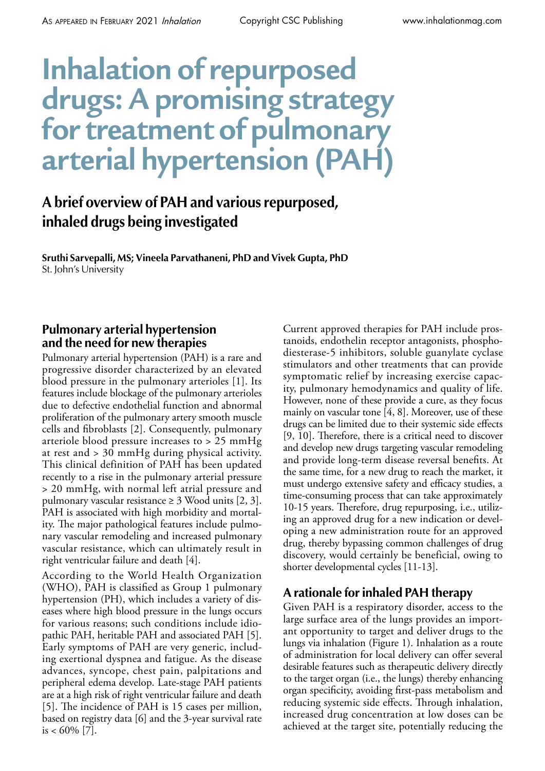# **Inhalation of repurposed drugs: A promising strategy for treatment of pulmonary arterial hypertension (PAH)**

# **A brief overview of PAH and various repurposed, inhaled drugs being investigated**

**Sruthi Sarvepalli, MS; Vineela Parvathaneni, PhD and Vivek Gupta, PhD** St. John's University

### **Pulmonary arterial hypertension and the need for new therapies**

Pulmonary arterial hypertension (PAH) is a rare and progressive disorder characterized by an elevated blood pressure in the pulmonary arterioles [1]. Its features include blockage of the pulmonary arterioles due to defective endothelial function and abnormal proliferation of the pulmonary artery smooth muscle cells and fibroblasts [2]. Consequently, pulmonary arteriole blood pressure increases to > 25 mmHg at rest and > 30 mmHg during physical activity. This clinical definition of PAH has been updated recently to a rise in the pulmonary arterial pressure > 20 mmHg, with normal left atrial pressure and pulmonary vascular resistance  $\geq 3$  Wood units [2, 3]. PAH is associated with high morbidity and mortality. The major pathological features include pulmonary vascular remodeling and increased pulmonary vascular resistance, which can ultimately result in right ventricular failure and death [4].

According to the World Health Organization (WHO), PAH is classified as Group 1 pulmonary hypertension (PH), which includes a variety of diseases where high blood pressure in the lungs occurs for various reasons; such conditions include idiopathic PAH, heritable PAH and associated PAH [5]. Early symptoms of PAH are very generic, including exertional dyspnea and fatigue. As the disease advances, syncope, chest pain, palpitations and peripheral edema develop. Late-stage PAH patients are at a high risk of right ventricular failure and death [5]. The incidence of PAH is 15 cases per million, based on registry data [6] and the 3-year survival rate is <  $60\%$  [7].

Current approved therapies for PAH include prostanoids, endothelin receptor antagonists, phosphodiesterase-5 inhibitors, soluble guanylate cyclase stimulators and other treatments that can provide symptomatic relief by increasing exercise capacity, pulmonary hemodynamics and quality of life. However, none of these provide a cure, as they focus mainly on vascular tone [4, 8]. Moreover, use of these drugs can be limited due to their systemic side effects [9, 10]. Therefore, there is a critical need to discover and develop new drugs targeting vascular remodeling and provide long-term disease reversal benefits. At the same time, for a new drug to reach the market, it must undergo extensive safety and efficacy studies, a time-consuming process that can take approximately 10-15 years. Therefore, drug repurposing, i.e., utilizing an approved drug for a new indication or developing a new administration route for an approved drug, thereby bypassing common challenges of drug discovery, would certainly be beneficial, owing to shorter developmental cycles [11-13].

# **A rationale for inhaled PAH therapy**

Given PAH is a respiratory disorder, access to the large surface area of the lungs provides an important opportunity to target and deliver drugs to the lungs via inhalation (Figure 1). Inhalation as a route of administration for local delivery can offer several desirable features such as therapeutic delivery directly to the target organ (i.e., the lungs) thereby enhancing organ specificity, avoiding first-pass metabolism and reducing systemic side effects. Through inhalation, increased drug concentration at low doses can be achieved at the target site, potentially reducing the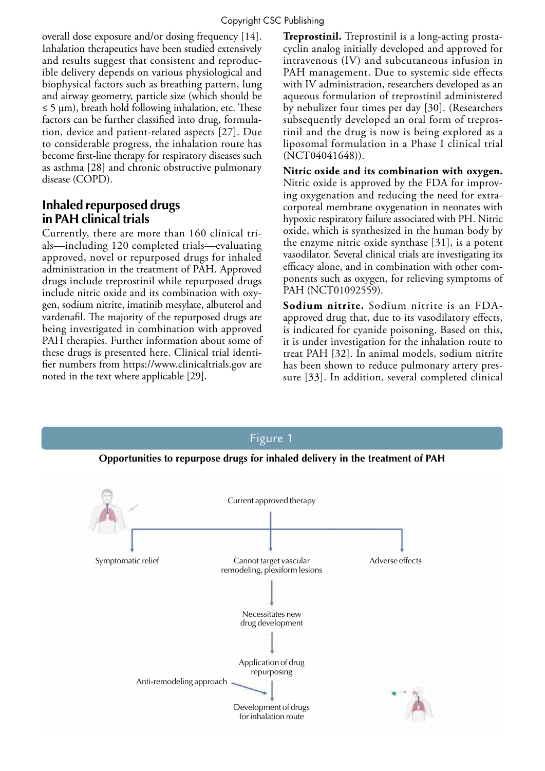overall dose exposure and/or dosing frequency [14]. Inhalation therapeutics have been studied extensively and results suggest that consistent and reproducible delivery depends on various physiological and biophysical factors such as breathing pattern, lung and airway geometry, particle size (which should be  $\leq$  5 µm), breath hold following inhalation, etc. These factors can be further classified into drug, formulation, device and patient-related aspects [27]. Due to considerable progress, the inhalation route has become first-line therapy for respiratory diseases such as asthma [28] and chronic obstructive pulmonary disease (COPD).

# **Inhaled repurposed drugs in PAH clinical trials**

Currently, there are more than 160 clinical trials—including 120 completed trials—evaluating approved, novel or repurposed drugs for inhaled administration in the treatment of PAH. Approved drugs include treprostinil while repurposed drugs include nitric oxide and its combination with oxygen, sodium nitrite, imatinib mesylate, albuterol and vardenafil. The majority of the repurposed drugs are being investigated in combination with approved PAH therapies. Further information about some of these drugs is presented here. Clinical trial identifier numbers from https://www.clinicaltrials.gov are noted in the text where applicable [29].

**Treprostinil.** Treprostinil is a long-acting prostacyclin analog initially developed and approved for intravenous (IV) and subcutaneous infusion in PAH management. Due to systemic side effects with IV administration, researchers developed as an aqueous formulation of treprostinil administered by nebulizer four times per day [30]. (Researchers subsequently developed an oral form of treprostinil and the drug is now is being explored as a liposomal formulation in a Phase I clinical trial (NCT04041648)).

**Nitric oxide and its combination with oxygen.**  Nitric oxide is approved by the FDA for improving oxygenation and reducing the need for extracorporeal membrane oxygenation in neonates with hypoxic respiratory failure associated with PH. Nitric oxide, which is synthesized in the human body by the enzyme nitric oxide synthase [31], is a potent vasodilator. Several clinical trials are investigating its efficacy alone, and in combination with other components such as oxygen, for relieving symptoms of PAH (NCT01092559).

**Sodium nitrite.** Sodium nitrite is an FDAapproved drug that, due to its vasodilatory effects, is indicated for cyanide poisoning. Based on this, it is under investigation for the inhalation route to treat PAH [32]. In animal models, sodium nitrite has been shown to reduce pulmonary artery pressure [33]. In addition, several completed clinical

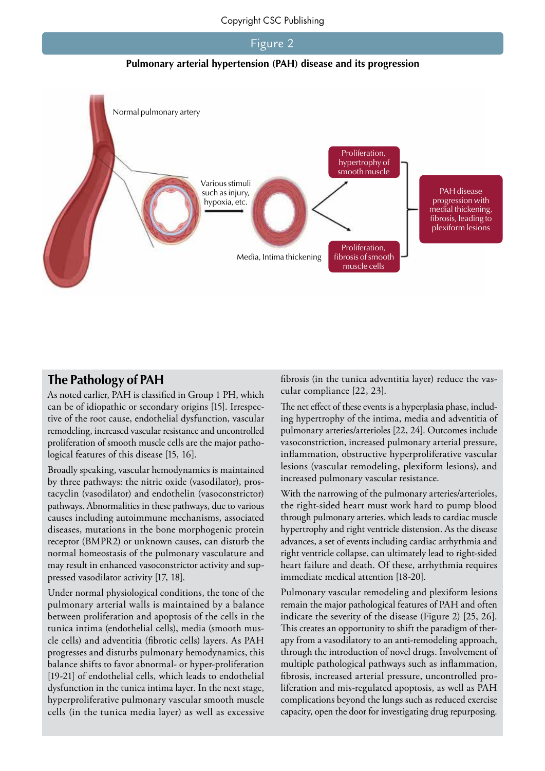#### Figure 2

**Pulmonary arterial hypertension (PAH) disease and its progression**



#### **The Pathology of PAH**

As noted earlier, PAH is classified in Group 1 PH, which can be of idiopathic or secondary origins [15]. Irrespective of the root cause, endothelial dysfunction, vascular remodeling, increased vascular resistance and uncontrolled proliferation of smooth muscle cells are the major pathological features of this disease [15, 16].

Broadly speaking, vascular hemodynamics is maintained by three pathways: the nitric oxide (vasodilator), prostacyclin (vasodilator) and endothelin (vasoconstrictor) pathways. Abnormalities in these pathways, due to various causes including autoimmune mechanisms, associated diseases, mutations in the bone morphogenic protein receptor (BMPR2) or unknown causes, can disturb the normal homeostasis of the pulmonary vasculature and may result in enhanced vasoconstrictor activity and suppressed vasodilator activity [17, 18].

Under normal physiological conditions, the tone of the pulmonary arterial walls is maintained by a balance between proliferation and apoptosis of the cells in the tunica intima (endothelial cells), media (smooth muscle cells) and adventitia (fibrotic cells) layers. As PAH progresses and disturbs pulmonary hemodynamics, this balance shifts to favor abnormal- or hyper-proliferation [19-21] of endothelial cells, which leads to endothelial dysfunction in the tunica intima layer. In the next stage, hyperproliferative pulmonary vascular smooth muscle cells (in the tunica media layer) as well as excessive fibrosis (in the tunica adventitia layer) reduce the vascular compliance [22, 23].

The net effect of these events is a hyperplasia phase, including hypertrophy of the intima, media and adventitia of pulmonary arteries/arterioles [22, 24]. Outcomes include vasoconstriction, increased pulmonary arterial pressure, inflammation, obstructive hyperproliferative vascular lesions (vascular remodeling, plexiform lesions), and increased pulmonary vascular resistance.

With the narrowing of the pulmonary arteries/arterioles, the right-sided heart must work hard to pump blood through pulmonary arteries, which leads to cardiac muscle hypertrophy and right ventricle distension. As the disease advances, a set of events including cardiac arrhythmia and right ventricle collapse, can ultimately lead to right-sided heart failure and death. Of these, arrhythmia requires immediate medical attention [18-20].

Pulmonary vascular remodeling and plexiform lesions remain the major pathological features of PAH and often indicate the severity of the disease (Figure 2) [25, 26]. This creates an opportunity to shift the paradigm of therapy from a vasodilatory to an anti-remodeling approach, through the introduction of novel drugs. Involvement of multiple pathological pathways such as inflammation, fibrosis, increased arterial pressure, uncontrolled proliferation and mis-regulated apoptosis, as well as PAH complications beyond the lungs such as reduced exercise capacity, open the door for investigating drug repurposing.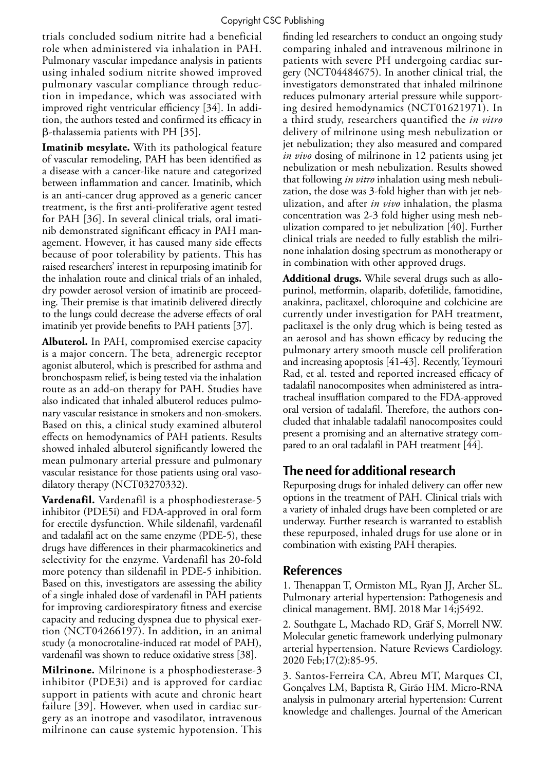trials concluded sodium nitrite had a beneficial role when administered via inhalation in PAH. Pulmonary vascular impedance analysis in patients using inhaled sodium nitrite showed improved pulmonary vascular compliance through reduction in impedance, which was associated with improved right ventricular efficiency [34]. In addition, the authors tested and confirmed its efficacy in β-thalassemia patients with PH [35].

**Imatinib mesylate.** With its pathological feature of vascular remodeling, PAH has been identified as a disease with a cancer-like nature and categorized between inflammation and cancer. Imatinib, which is an anti-cancer drug approved as a generic cancer treatment, is the first anti-proliferative agent tested for PAH [36]. In several clinical trials, oral imatinib demonstrated significant efficacy in PAH management. However, it has caused many side effects because of poor tolerability by patients. This has raised researchers' interest in repurposing imatinib for the inhalation route and clinical trials of an inhaled, dry powder aerosol version of imatinib are proceeding. Their premise is that imatinib delivered directly to the lungs could decrease the adverse effects of oral imatinib yet provide benefits to PAH patients [37].

**Albuterol.** In PAH, compromised exercise capacity is a major concern. The beta<sub>2</sub> adrenergic receptor agonist albuterol, which is prescribed for asthma and bronchospasm relief, is being tested via the inhalation route as an add-on therapy for PAH. Studies have also indicated that inhaled albuterol reduces pulmonary vascular resistance in smokers and non-smokers. Based on this, a clinical study examined albuterol effects on hemodynamics of PAH patients. Results showed inhaled albuterol significantly lowered the mean pulmonary arterial pressure and pulmonary vascular resistance for those patients using oral vasodilatory therapy (NCT03270332).

**Vardenafil.** Vardenafil is a phosphodiesterase-5 inhibitor (PDE5i) and FDA-approved in oral form for erectile dysfunction. While sildenafil, vardenafil and tadalafil act on the same enzyme (PDE-5), these drugs have differences in their pharmacokinetics and selectivity for the enzyme. Vardenafil has 20-fold more potency than sildenafil in PDE-5 inhibition. Based on this, investigators are assessing the ability of a single inhaled dose of vardenafil in PAH patients for improving cardiorespiratory fitness and exercise capacity and reducing dyspnea due to physical exertion (NCT04266197). In addition, in an animal study (a monocrotaline-induced rat model of PAH), vardenafil was shown to reduce oxidative stress [38].

**Milrinone.** Milrinone is a phosphodiesterase-3 inhibitor (PDE3i) and is approved for cardiac support in patients with acute and chronic heart failure [39]. However, when used in cardiac surgery as an inotrope and vasodilator, intravenous milrinone can cause systemic hypotension. This

finding led researchers to conduct an ongoing study comparing inhaled and intravenous milrinone in patients with severe PH undergoing cardiac surgery (NCT04484675). In another clinical trial, the investigators demonstrated that inhaled milrinone reduces pulmonary arterial pressure while supporting desired hemodynamics (NCT01621971). In a third study, researchers quantified the *in vitro* delivery of milrinone using mesh nebulization or jet nebulization; they also measured and compared *in vivo* dosing of milrinone in 12 patients using jet nebulization or mesh nebulization. Results showed that following *in vitro* inhalation using mesh nebulization, the dose was 3-fold higher than with jet nebulization, and after *in vivo* inhalation, the plasma concentration was 2-3 fold higher using mesh nebulization compared to jet nebulization [40]. Further clinical trials are needed to fully establish the milrinone inhalation dosing spectrum as monotherapy or in combination with other approved drugs.

**Additional drugs.** While several drugs such as allopurinol, metformin, olaparib, dofetilide, famotidine, anakinra, paclitaxel, chloroquine and colchicine are currently under investigation for PAH treatment, paclitaxel is the only drug which is being tested as an aerosol and has shown efficacy by reducing the pulmonary artery smooth muscle cell proliferation and increasing apoptosis [41-43]. Recently, Teymouri Rad, et al. tested and reported increased efficacy of tadalafil nanocomposites when administered as intratracheal insufflation compared to the FDA-approved oral version of tadalafil. Therefore, the authors concluded that inhalable tadalafil nanocomposites could present a promising and an alternative strategy compared to an oral tadalafil in PAH treatment [44].

# **The need for additional research**

Repurposing drugs for inhaled delivery can offer new options in the treatment of PAH. Clinical trials with a variety of inhaled drugs have been completed or are underway. Further research is warranted to establish these repurposed, inhaled drugs for use alone or in combination with existing PAH therapies.

#### **References**

1. Thenappan T, Ormiston ML, Ryan JJ, Archer SL. Pulmonary arterial hypertension: Pathogenesis and clinical management. BMJ. 2018 Mar 14;j5492.

2. Southgate L, Machado RD, Gräf S, Morrell NW. Molecular genetic framework underlying pulmonary arterial hypertension. Nature Reviews Cardiology. 2020 Feb;17(2):85-95.

3. Santos-Ferreira CA, Abreu MT, Marques CI, Gonçalves LM, Baptista R, Girão HM. Micro-RNA analysis in pulmonary arterial hypertension: Current knowledge and challenges. Journal of the American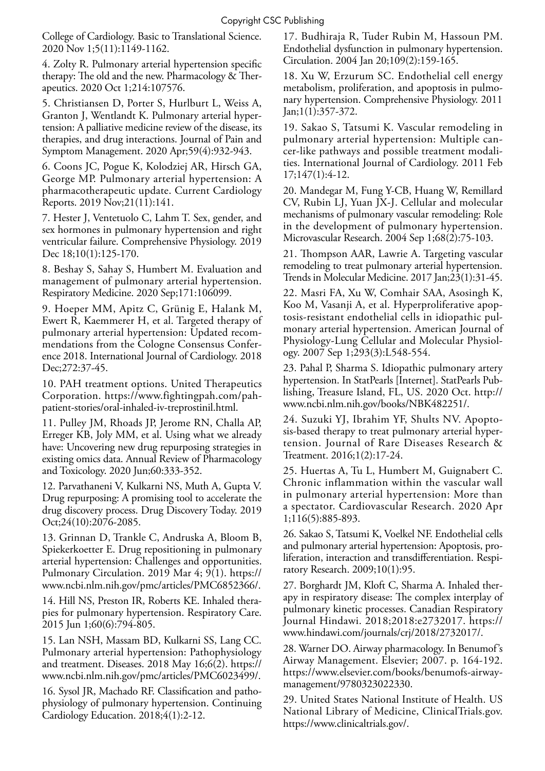College of Cardiology. Basic to Translational Science. 2020 Nov 1;5(11):1149-1162.

4. Zolty R. Pulmonary arterial hypertension specific therapy: The old and the new. Pharmacology & Therapeutics. 2020 Oct 1;214:107576.

5. Christiansen D, Porter S, Hurlburt L, Weiss A, Granton J, Wentlandt K. Pulmonary arterial hypertension: A palliative medicine review of the disease, its therapies, and drug interactions. Journal of Pain and Symptom Management. 2020 Apr;59(4):932-943.

6. Coons JC, Pogue K, Kolodziej AR, Hirsch GA, George MP. Pulmonary arterial hypertension: A pharmacotherapeutic update. Current Cardiology Reports. 2019 Nov;21(11):141.

7. Hester J, Ventetuolo C, Lahm T. Sex, gender, and sex hormones in pulmonary hypertension and right ventricular failure. Comprehensive Physiology. 2019 Dec 18;10(1):125-170.

8. Beshay S, Sahay S, Humbert M. Evaluation and management of pulmonary arterial hypertension. Respiratory Medicine. 2020 Sep;171:106099.

9. Hoeper MM, Apitz C, Grünig E, Halank M, Ewert R, Kaemmerer H, et al. Targeted therapy of pulmonary arterial hypertension: Updated recommendations from the Cologne Consensus Conference 2018. International Journal of Cardiology. 2018 Dec;272:37-45.

10. PAH treatment options. United Therapeutics Corporation. https://www.fightingpah.com/pahpatient-stories/oral-inhaled-iv-treprostinil.html.

11. Pulley JM, Rhoads JP, Jerome RN, Challa AP, Erreger KB, Joly MM, et al. Using what we already have: Uncovering new drug repurposing strategies in existing omics data. Annual Review of Pharmacology and Toxicology. 2020 Jun;60:333-352.

12. Parvathaneni V, Kulkarni NS, Muth A, Gupta V. Drug repurposing: A promising tool to accelerate the drug discovery process. Drug Discovery Today. 2019 Oct;24(10):2076-2085.

13. Grinnan D, Trankle C, Andruska A, Bloom B, Spiekerkoetter E. Drug repositioning in pulmonary arterial hypertension: Challenges and opportunities. Pulmonary Circulation. 2019 Mar 4; 9(1). https:// www.ncbi.nlm.nih.gov/pmc/articles/PMC6852366/.

14. Hill NS, Preston IR, Roberts KE. Inhaled therapies for pulmonary hypertension. Respiratory Care. 2015 Jun 1;60(6):794-805.

15. Lan NSH, Massam BD, Kulkarni SS, Lang CC. Pulmonary arterial hypertension: Pathophysiology and treatment. Diseases. 2018 May 16;6(2). https:// www.ncbi.nlm.nih.gov/pmc/articles/PMC6023499/.

16. Sysol JR, Machado RF. Classification and pathophysiology of pulmonary hypertension. Continuing Cardiology Education. 2018;4(1):2-12.

17. Budhiraja R, Tuder Rubin M, Hassoun PM. Endothelial dysfunction in pulmonary hypertension. Circulation. 2004 Jan 20;109(2):159-165.

18. Xu W, Erzurum SC. Endothelial cell energy metabolism, proliferation, and apoptosis in pulmonary hypertension. Comprehensive Physiology. 2011 Jan;1(1):357-372.

19. Sakao S, Tatsumi K. Vascular remodeling in pulmonary arterial hypertension: Multiple cancer-like pathways and possible treatment modalities. International Journal of Cardiology. 2011 Feb 17;147(1):4-12.

20. Mandegar M, Fung Y-CB, Huang W, Remillard CV, Rubin LJ, Yuan JX-J. Cellular and molecular mechanisms of pulmonary vascular remodeling: Role in the development of pulmonary hypertension. Microvascular Research. 2004 Sep 1;68(2):75-103.

21. Thompson AAR, Lawrie A. Targeting vascular remodeling to treat pulmonary arterial hypertension. Trends in Molecular Medicine. 2017 Jan;23(1):31-45.

22. Masri FA, Xu W, Comhair SAA, Asosingh K, Koo M, Vasanji A, et al. Hyperproliferative apoptosis-resistant endothelial cells in idiopathic pulmonary arterial hypertension. American Journal of Physiology-Lung Cellular and Molecular Physiology. 2007 Sep 1;293(3):L548-554.

23. Pahal P, Sharma S. Idiopathic pulmonary artery hypertension. In StatPearls [Internet]. StatPearls Publishing, Treasure Island, FL, US. 2020 Oct. http:// www.ncbi.nlm.nih.gov/books/NBK482251/.

24. Suzuki YJ, Ibrahim YF, Shults NV. Apoptosis-based therapy to treat pulmonary arterial hypertension. Journal of Rare Diseases Research & Treatment. 2016;1(2):17-24.

25. Huertas A, Tu L, Humbert M, Guignabert C. Chronic inflammation within the vascular wall in pulmonary arterial hypertension: More than a spectator. Cardiovascular Research. 2020 Apr 1;116(5):885-893.

26. Sakao S, Tatsumi K, Voelkel NF. Endothelial cells and pulmonary arterial hypertension: Apoptosis, proliferation, interaction and transdifferentiation. Respiratory Research. 2009;10(1):95.

27. Borghardt JM, Kloft C, Sharma A. Inhaled therapy in respiratory disease: The complex interplay of pulmonary kinetic processes. Canadian Respiratory Journal Hindawi. 2018;2018:e2732017. https:// www.hindawi.com/journals/crj/2018/2732017/.

28. Warner DO. Airway pharmacology. In Benumof's Airway Management. Elsevier; 2007. p. 164-192. https://www.elsevier.com/books/benumofs-airwaymanagement/9780323022330.

29. United States National Institute of Health. US National Library of Medicine, ClinicalTrials.gov. https://www.clinicaltrials.gov/.